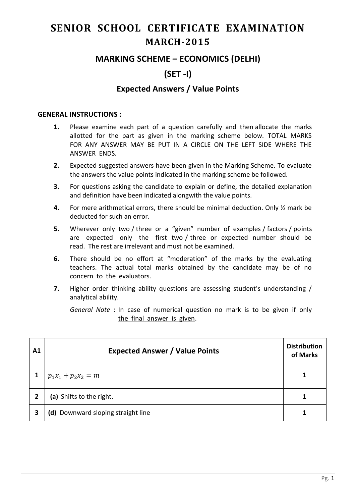# **SENIOR SCHOOL CERTIFICATE EXAMINATION MARCH-2015**

## **MARKING SCHEME – ECONOMICS (DELHI)**

# **(SET -I)**

### **Expected Answers / Value Points**

#### **GENERAL INSTRUCTIONS :**

- **1.** Please examine each part of a question carefully and then allocate the marks allotted for the part as given in the marking scheme below. TOTAL MARKS FOR ANY ANSWER MAY BE PUT IN A CIRCLE ON THE LEFT SIDE WHERE THE ANSWER ENDS.
- **2.** Expected suggested answers have been given in the Marking Scheme. To evaluate the answers the value points indicated in the marking scheme be followed.
- **3.** For questions asking the candidate to explain or define, the detailed explanation and definition have been indicated alongwith the value points.
- **4.** For mere arithmetical errors, there should be minimal deduction. Only ½ mark be deducted for such an error.
- **5.** Wherever only two / three or a "given" number of examples / factors / points are expected only the first two / three or expected number should be read. The rest are irrelevant and must not be examined.
- **6.** There should be no effort at "moderation" of the marks by the evaluating teachers. The actual total marks obtained by the candidate may be of no concern to the evaluators.
- **7.** Higher order thinking ability questions are assessing student's understanding / analytical ability.

*General Note* : In case of numerical question no mark is to be given if only the final answer is given.

| A1 | <b>Expected Answer / Value Points</b> | <b>Distribution</b><br>of Marks |
|----|---------------------------------------|---------------------------------|
|    | $p_1x_1 + p_2x_2 = m$                 |                                 |
|    | (a) Shifts to the right.              | 1                               |
| 3  | (d) Downward sloping straight line    |                                 |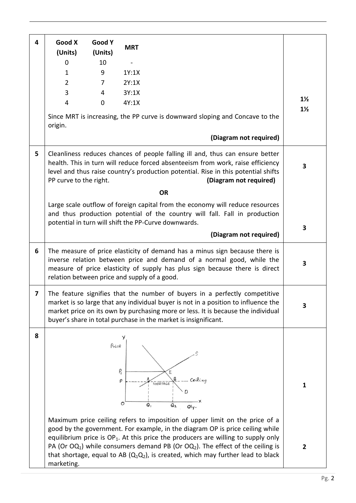| 4 | Good X                                       | <b>Good Y</b> |             |                                                                                                                                                                                                                                                                                                                                                      |                |
|---|----------------------------------------------|---------------|-------------|------------------------------------------------------------------------------------------------------------------------------------------------------------------------------------------------------------------------------------------------------------------------------------------------------------------------------------------------------|----------------|
|   | (Units)                                      | (Units)       | <b>MRT</b>  |                                                                                                                                                                                                                                                                                                                                                      |                |
|   | 0                                            | 10            |             |                                                                                                                                                                                                                                                                                                                                                      |                |
|   | $\mathbf{1}$                                 | 9             | 1Y:1X       |                                                                                                                                                                                                                                                                                                                                                      |                |
|   | $\overline{2}$                               | 7             | 2Y:1X       |                                                                                                                                                                                                                                                                                                                                                      |                |
|   | 3                                            | 4             | 3Y:1X       |                                                                                                                                                                                                                                                                                                                                                      |                |
|   | $\overline{4}$                               | 0             | 4Y:1X       |                                                                                                                                                                                                                                                                                                                                                      | $1\frac{1}{2}$ |
|   | origin.                                      |               |             | Since MRT is increasing, the PP curve is downward sloping and Concave to the                                                                                                                                                                                                                                                                         | $1\frac{1}{2}$ |
|   |                                              |               |             | (Diagram not required)                                                                                                                                                                                                                                                                                                                               |                |
| 5 | PP curve to the right.                       |               |             | Cleanliness reduces chances of people falling ill and, thus can ensure better<br>health. This in turn will reduce forced absenteeism from work, raise efficiency<br>level and thus raise country's production potential. Rise in this potential shifts<br>(Diagram not required)                                                                     | 3              |
|   |                                              |               |             | <b>OR</b>                                                                                                                                                                                                                                                                                                                                            |                |
|   |                                              |               |             | Large scale outflow of foreign capital from the economy will reduce resources<br>and thus production potential of the country will fall. Fall in production<br>potential in turn will shift the PP-Curve downwards.                                                                                                                                  |                |
|   |                                              |               |             |                                                                                                                                                                                                                                                                                                                                                      | 3              |
|   |                                              |               |             | (Diagram not required)                                                                                                                                                                                                                                                                                                                               |                |
| 6 | relation between price and supply of a good. |               |             | The measure of price elasticity of demand has a minus sign because there is<br>inverse relation between price and demand of a normal good, while the<br>measure of price elasticity of supply has plus sign because there is direct                                                                                                                  | 3              |
| 7 |                                              |               |             | The feature signifies that the number of buyers in a perfectly competitive<br>market is so large that any individual buyer is not in a position to influence the<br>market price on its own by purchasing more or less. It is because the individual<br>buyer's share in total purchase in the market is insignificant.                              | 3              |
| 8 |                                              | Price         | q<br>P<br>0 | Ceiling<br>SHORTAGE<br>Ο,<br>Q2<br>Oly.<br>Maximum price ceiling refers to imposition of upper limit on the price of a                                                                                                                                                                                                                               | $\mathbf{1}$   |
|   | marketing.                                   |               |             | good by the government. For example, in the diagram OP is price ceiling while<br>equilibrium price is $OP_1$ . At this price the producers are willing to supply only<br>PA (Or $OQ_1$ ) while consumers demand PB (Or $OQ_2$ ). The effect of the ceiling is<br>that shortage, equal to AB $(Q_1Q_2)$ , is created, which may further lead to black | $\mathbf{2}$   |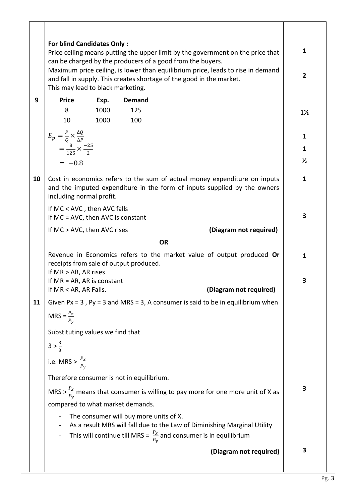|    | <b>For blind Candidates Only:</b><br>Price ceiling means putting the upper limit by the government on the price that<br>can be charged by the producers of a good from the buyers.           |                |                                                                                                                                                                                                      |                |  |
|----|----------------------------------------------------------------------------------------------------------------------------------------------------------------------------------------------|----------------|------------------------------------------------------------------------------------------------------------------------------------------------------------------------------------------------------|----------------|--|
|    | Maximum price ceiling, is lower than equilibrium price, leads to rise in demand<br>and fall in supply. This creates shortage of the good in the market.<br>This may lead to black marketing. | $\overline{2}$ |                                                                                                                                                                                                      |                |  |
| 9  | <b>Price</b>                                                                                                                                                                                 | Exp.           | <b>Demand</b>                                                                                                                                                                                        |                |  |
|    | 8                                                                                                                                                                                            | 1000           | 125                                                                                                                                                                                                  | $1\frac{1}{2}$ |  |
|    | 10                                                                                                                                                                                           | 1000           | 100                                                                                                                                                                                                  |                |  |
|    | $E_p = \frac{P}{Q} \times \frac{\Delta Q}{\Delta P}$                                                                                                                                         |                |                                                                                                                                                                                                      | 1              |  |
|    | $=\frac{8}{125} \times \frac{-25}{2}$                                                                                                                                                        |                |                                                                                                                                                                                                      | 1              |  |
|    | $= -0.8$                                                                                                                                                                                     |                |                                                                                                                                                                                                      | $\frac{1}{2}$  |  |
| 10 | including normal profit.                                                                                                                                                                     |                | Cost in economics refers to the sum of actual money expenditure on inputs<br>and the imputed expenditure in the form of inputs supplied by the owners                                                | $\mathbf{1}$   |  |
|    | If MC < AVC, then AVC falls<br>If MC = AVC, then AVC is constant                                                                                                                             |                |                                                                                                                                                                                                      | 3              |  |
|    | If MC > AVC, then AVC rises                                                                                                                                                                  |                | (Diagram not required)                                                                                                                                                                               |                |  |
|    |                                                                                                                                                                                              |                | <b>OR</b>                                                                                                                                                                                            |                |  |
|    | Revenue in Economics refers to the market value of output produced Or<br>receipts from sale of output produced.<br>If MR > AR, AR rises                                                      | 1              |                                                                                                                                                                                                      |                |  |
|    | If $MR = AR$ , AR is constant                                                                                                                                                                |                |                                                                                                                                                                                                      | 3              |  |
|    | If MR < AR, AR Falls.                                                                                                                                                                        |                | (Diagram not required)                                                                                                                                                                               |                |  |
| 11 |                                                                                                                                                                                              |                | Given Px = $3$ , Py = $3$ and MRS = $3$ , A consumer is said to be in equilibrium when                                                                                                               |                |  |
|    | MRS = $\frac{P_x}{P_y}$                                                                                                                                                                      |                |                                                                                                                                                                                                      |                |  |
|    | Substituting values we find that                                                                                                                                                             |                |                                                                                                                                                                                                      |                |  |
|    | $3 > \frac{3}{3}$                                                                                                                                                                            |                |                                                                                                                                                                                                      |                |  |
|    | i.e. MRS > $\frac{P_x}{P_y}$                                                                                                                                                                 |                |                                                                                                                                                                                                      |                |  |
|    | Therefore consumer is not in equilibrium.                                                                                                                                                    |                |                                                                                                                                                                                                      |                |  |
|    | MRS > $\frac{P_x}{P_y}$ means that consumer is willing to pay more for one more unit of X as                                                                                                 |                |                                                                                                                                                                                                      |                |  |
|    | compared to what market demands.                                                                                                                                                             |                |                                                                                                                                                                                                      |                |  |
|    |                                                                                                                                                                                              |                | The consumer will buy more units of X.<br>As a result MRS will fall due to the Law of Diminishing Marginal Utility<br>This will continue till MRS = $\frac{P_x}{P_y}$ and consumer is in equilibrium |                |  |
|    |                                                                                                                                                                                              |                | (Diagram not required)                                                                                                                                                                               | 3              |  |
|    |                                                                                                                                                                                              |                |                                                                                                                                                                                                      |                |  |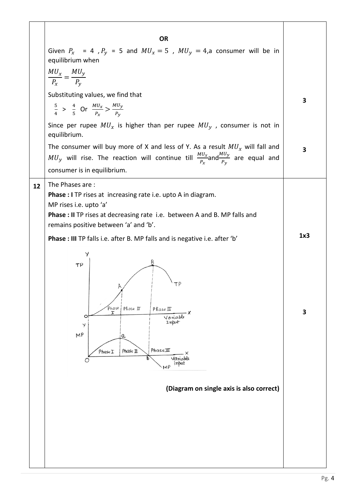|    | <b>OR</b>                                                                                                                                                                                                                                                                                                                                                                                                                                                                                                                                                |          |
|----|----------------------------------------------------------------------------------------------------------------------------------------------------------------------------------------------------------------------------------------------------------------------------------------------------------------------------------------------------------------------------------------------------------------------------------------------------------------------------------------------------------------------------------------------------------|----------|
|    | Given $P_x$ = 4, $P_y$ = 5 and $MU_x = 5$ , $MU_y = 4$ , a consumer will be in<br>equilibrium when                                                                                                                                                                                                                                                                                                                                                                                                                                                       |          |
|    | $\frac{MU_x}{P_x} = \frac{MU_y}{P_y}$                                                                                                                                                                                                                                                                                                                                                                                                                                                                                                                    |          |
|    | Substituting values, we find that                                                                                                                                                                                                                                                                                                                                                                                                                                                                                                                        | 3        |
|    | $rac{5}{4}$ > $rac{4}{5}$ Or $rac{MU_x}{P_x}$ > $rac{MU_y}{P_y}$                                                                                                                                                                                                                                                                                                                                                                                                                                                                                         |          |
|    | Since per rupee $MU_x$ is higher than per rupee $MU_y$ , consumer is not in<br>equilibrium.                                                                                                                                                                                                                                                                                                                                                                                                                                                              |          |
|    | The consumer will buy more of X and less of Y. As a result $MU_x$ will fall and<br>$MU_y$ will rise. The reaction will continue till $\frac{MU_x}{P_x}$ and $\frac{MU_y}{P_y}$ are equal and                                                                                                                                                                                                                                                                                                                                                             | 3        |
|    | consumer is in equilibrium.                                                                                                                                                                                                                                                                                                                                                                                                                                                                                                                              |          |
| 12 | The Phases are:<br><b>Phase : I</b> TP rises at increasing rate i.e. upto A in diagram.<br>MP rises i.e. upto 'a'<br><b>Phase : II</b> TP rises at decreasing rate i.e. between A and B. MP falls and<br>remains positive between 'a' and 'b'.<br>Phase : III TP falls i.e. after B. MP falls and is negative i.e. after 'b'<br>Y<br>TP<br>ТΡ<br>Phase<br>Phase II<br>PhaseII<br>O<br>Variable<br>Input<br>Y<br>MP<br>$\alpha$<br>PhaseIII<br>Phase II<br>PhaseI<br>Variable<br>O<br>input<br>M <sub>P</sub><br>(Diagram on single axis is also correct) | 1x3<br>3 |
|    |                                                                                                                                                                                                                                                                                                                                                                                                                                                                                                                                                          |          |

 $\mathbf{r}$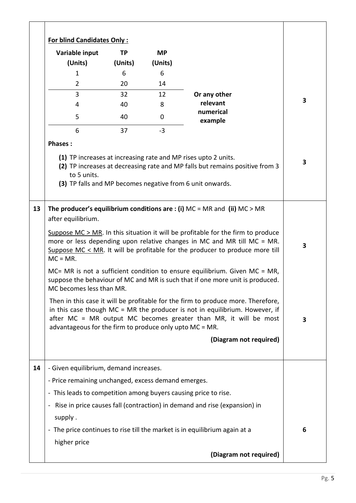| Variable input                                                  | TP      | <b>MP</b> |                                                                                                                                                                                                                                                   |                         |
|-----------------------------------------------------------------|---------|-----------|---------------------------------------------------------------------------------------------------------------------------------------------------------------------------------------------------------------------------------------------------|-------------------------|
| (Units)                                                         | (Units) | (Units)   |                                                                                                                                                                                                                                                   |                         |
| $\mathbf{1}$                                                    | 6       | 6         |                                                                                                                                                                                                                                                   |                         |
| 2                                                               | 20      | 14        |                                                                                                                                                                                                                                                   |                         |
| 3                                                               | 32      | 12        | Or any other                                                                                                                                                                                                                                      | 3                       |
| 4                                                               | 40      | 8         | relevant<br>numerical                                                                                                                                                                                                                             |                         |
| 5                                                               | 40      | 0         | example                                                                                                                                                                                                                                           |                         |
| 6                                                               | 37      | $-3$      |                                                                                                                                                                                                                                                   |                         |
| <b>Phases:</b>                                                  |         |           |                                                                                                                                                                                                                                                   |                         |
| to 5 units.                                                     |         |           | (1) TP increases at increasing rate and MP rises upto 2 units.<br>(2) TP increases at decreasing rate and MP falls but remains positive from 3<br>(3) TP falls and MP becomes negative from 6 unit onwards.                                       | $\overline{\mathbf{3}}$ |
|                                                                 |         |           | The producer's equilibrium conditions are : (i) $MC = MR$ and (ii) $MC > MR$                                                                                                                                                                      |                         |
| after equilibrium.                                              |         |           |                                                                                                                                                                                                                                                   |                         |
|                                                                 |         |           |                                                                                                                                                                                                                                                   |                         |
| $MC = MR$ .                                                     |         |           | Suppose $MC > MR$ . In this situation it will be profitable for the firm to produce<br>more or less depending upon relative changes in MC and MR till MC = MR.<br>Suppose $MC < MR$ . It will be profitable for the producer to produce more till | 3                       |
| MC becomes less than MR.                                        |         |           | $MC = MR$ is not a sufficient condition to ensure equilibrium. Given $MC = MR$ ,<br>suppose the behaviour of MC and MR is such that if one more unit is produced.                                                                                 |                         |
| advantageous for the firm to produce only upto MC = MR.         |         |           | Then in this case it will be profitable for the firm to produce more. Therefore,<br>in this case though $MC = MR$ the producer is not in equilibrium. However, if<br>after MC = MR output MC becomes greater than MR, it will be most             | $\overline{\mathbf{3}}$ |
|                                                                 |         |           | (Diagram not required)                                                                                                                                                                                                                            |                         |
| - Given equilibrium, demand increases.                          |         |           |                                                                                                                                                                                                                                                   |                         |
| - Price remaining unchanged, excess demand emerges.             |         |           |                                                                                                                                                                                                                                                   |                         |
| - This leads to competition among buyers causing price to rise. |         |           |                                                                                                                                                                                                                                                   |                         |
| $\blacksquare$                                                  |         |           |                                                                                                                                                                                                                                                   |                         |
|                                                                 |         |           | Rise in price causes fall (contraction) in demand and rise (expansion) in                                                                                                                                                                         |                         |
| supply.                                                         |         |           | - The price continues to rise till the market is in equilibrium again at a                                                                                                                                                                        | 6                       |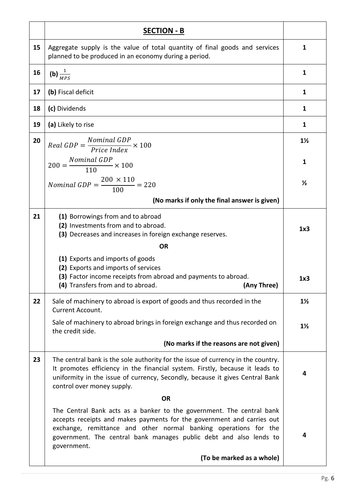|    | <b>SECTION - B</b>                                                                                                                                                                                                                                                                                       |                |
|----|----------------------------------------------------------------------------------------------------------------------------------------------------------------------------------------------------------------------------------------------------------------------------------------------------------|----------------|
| 15 | Aggregate supply is the value of total quantity of final goods and services<br>planned to be produced in an economy during a period.                                                                                                                                                                     | 1              |
| 16 | (b) $\frac{1}{MPS}$                                                                                                                                                                                                                                                                                      | 1              |
| 17 | (b) Fiscal deficit                                                                                                                                                                                                                                                                                       | 1              |
| 18 | (c) Dividends                                                                                                                                                                                                                                                                                            | 1              |
| 19 | (a) Likely to rise                                                                                                                                                                                                                                                                                       | $\mathbf{1}$   |
| 20 | $Real GDP = \frac{Nominal GDP}{Price Index} \times 100$                                                                                                                                                                                                                                                  | $1\frac{1}{2}$ |
|    | $200 = \frac{Nominal GDP}{110} \times 100$                                                                                                                                                                                                                                                               | 1              |
|    | <i>Nominal GDP</i> = $\frac{200 \times 110}{100}$ = 220                                                                                                                                                                                                                                                  | $\frac{1}{2}$  |
|    | (No marks if only the final answer is given)                                                                                                                                                                                                                                                             |                |
| 21 | (1) Borrowings from and to abroad<br>(2) Investments from and to abroad.<br>(3) Decreases and increases in foreign exchange reserves.                                                                                                                                                                    | 1x3            |
|    | <b>OR</b>                                                                                                                                                                                                                                                                                                |                |
|    | (1) Exports and imports of goods<br>(2) Exports and imports of services                                                                                                                                                                                                                                  |                |
|    | (3) Factor income receipts from abroad and payments to abroad.<br>(4) Transfers from and to abroad.<br>(Any Three)                                                                                                                                                                                       | 1x3            |
| 22 | Sale of machinery to abroad is export of goods and thus recorded in the<br>Current Account.                                                                                                                                                                                                              | $1\frac{1}{2}$ |
|    | Sale of machinery to abroad brings in foreign exchange and thus recorded on<br>the credit side.                                                                                                                                                                                                          | $1\frac{1}{2}$ |
|    | (No marks if the reasons are not given)                                                                                                                                                                                                                                                                  |                |
| 23 | The central bank is the sole authority for the issue of currency in the country.<br>It promotes efficiency in the financial system. Firstly, because it leads to<br>uniformity in the issue of currency, Secondly, because it gives Central Bank<br>control over money supply.                           | 4              |
|    | <b>OR</b>                                                                                                                                                                                                                                                                                                |                |
|    | The Central Bank acts as a banker to the government. The central bank<br>accepts receipts and makes payments for the government and carries out<br>exchange, remittance and other normal banking operations for the<br>government. The central bank manages public debt and also lends to<br>government. | 4              |
|    | (To be marked as a whole)                                                                                                                                                                                                                                                                                |                |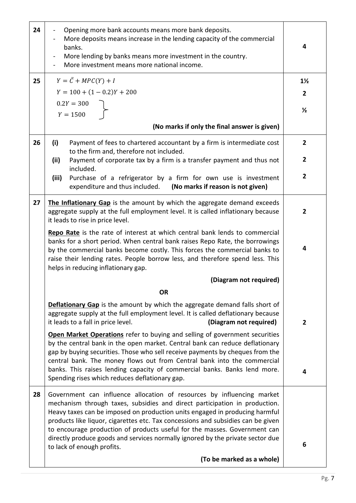| 24<br>$\blacksquare$<br>banks.<br>$\blacksquare$ | Opening more bank accounts means more bank deposits.<br>More deposits means increase in the lending capacity of the commercial<br>More lending by banks means more investment in the country.<br>More investment means more national income.                                                                                                                                                                                                                                           | 4              |
|--------------------------------------------------|----------------------------------------------------------------------------------------------------------------------------------------------------------------------------------------------------------------------------------------------------------------------------------------------------------------------------------------------------------------------------------------------------------------------------------------------------------------------------------------|----------------|
| $Y = \overline{C} + MPC(Y) + I$<br>25            |                                                                                                                                                                                                                                                                                                                                                                                                                                                                                        | $1\frac{1}{2}$ |
|                                                  | $Y = 100 + (1 - 0.2)Y + 200$                                                                                                                                                                                                                                                                                                                                                                                                                                                           | $\mathbf{2}$   |
| $0.2Y = 300$<br>$Y = 1500$                       |                                                                                                                                                                                                                                                                                                                                                                                                                                                                                        | $\frac{1}{2}$  |
|                                                  | (No marks if only the final answer is given)                                                                                                                                                                                                                                                                                                                                                                                                                                           |                |
| 26<br>(i)                                        | Payment of fees to chartered accountant by a firm is intermediate cost<br>to the firm and, therefore not included.                                                                                                                                                                                                                                                                                                                                                                     | $2^{\circ}$    |
| (ii)<br>included.                                | Payment of corporate tax by a firm is a transfer payment and thus not                                                                                                                                                                                                                                                                                                                                                                                                                  | $\overline{2}$ |
| (iii)                                            | Purchase of a refrigerator by a firm for own use is investment<br>expenditure and thus included. (No marks if reason is not given)                                                                                                                                                                                                                                                                                                                                                     | $\overline{2}$ |
| 27<br>it leads to rise in price level.           | The Inflationary Gap is the amount by which the aggregate demand exceeds<br>aggregate supply at the full employment level. It is called inflationary because                                                                                                                                                                                                                                                                                                                           | $\mathbf{2}$   |
|                                                  | Repo Rate is the rate of interest at which central bank lends to commercial<br>banks for a short period. When central bank raises Repo Rate, the borrowings<br>by the commercial banks become costly. This forces the commercial banks to<br>raise their lending rates. People borrow less, and therefore spend less. This<br>helps in reducing inflationary gap.                                                                                                                      | 4              |
|                                                  | (Diagram not required)                                                                                                                                                                                                                                                                                                                                                                                                                                                                 |                |
|                                                  | <b>OR</b>                                                                                                                                                                                                                                                                                                                                                                                                                                                                              |                |
| it leads to a fall in price level.               | Deflationary Gap is the amount by which the aggregate demand falls short of<br>aggregate supply at the full employment level. It is called deflationary because<br>(Diagram not required)                                                                                                                                                                                                                                                                                              | $\overline{2}$ |
|                                                  | Open Market Operations refer to buying and selling of government securities<br>by the central bank in the open market. Central bank can reduce deflationary<br>gap by buying securities. Those who sell receive payments by cheques from the<br>central bank. The money flows out from Central bank into the commercial                                                                                                                                                                |                |
|                                                  | banks. This raises lending capacity of commercial banks. Banks lend more.<br>Spending rises which reduces deflationary gap.                                                                                                                                                                                                                                                                                                                                                            | 4              |
| 28<br>to lack of enough profits.                 | Government can influence allocation of resources by influencing market<br>mechanism through taxes, subsidies and direct participation in production.<br>Heavy taxes can be imposed on production units engaged in producing harmful<br>products like liquor, cigarettes etc. Tax concessions and subsidies can be given<br>to encourage production of products useful for the masses. Government can<br>directly produce goods and services normally ignored by the private sector due | 6              |
|                                                  | (To be marked as a whole)                                                                                                                                                                                                                                                                                                                                                                                                                                                              |                |